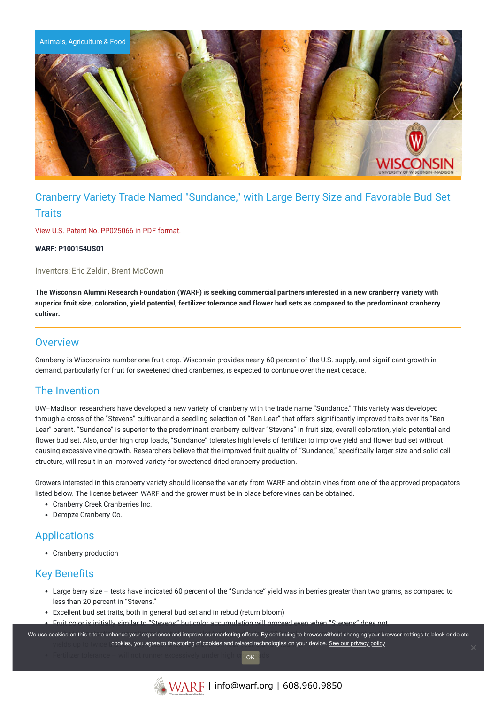

# Cranberry Variety Trade Named "Sundance," with Large Berry Size and Favorable Bud Set **Traits**

View U.S. Patent No. [PP025066](https://www.warf.org/wp-content/uploads/technologies/ipstatus/P100154US01.PDF) in PDF format.

**WARF: P100154US01**

Inventors: Eric Zeldin, Brent McCown

The Wisconsin Alumni Research Foundation (WARF) is seeking commercial partners interested in a new cranberry variety with superior fruit size, coloration, yield potential, fertilizer tolerance and flower bud sets as compared to the predominant cranberry **cultivar.**

#### **Overview**

Cranberry is Wisconsin's number one fruit crop. Wisconsin provides nearly 60 percent of the U.S. supply, and significant growth in demand, particularly for fruit for sweetened dried cranberries, is expected to continue over the next decade.

### The Invention

UW–Madison researchers have developed a new variety of cranberry with the trade name "Sundance." This variety was developed through a cross of the "Stevens" cultivar and a seedling selection of "Ben Lear" that offers significantly improved traits over its "Ben Lear" parent. "Sundance" is superior to the predominant cranberry cultivar "Stevens" in fruit size, overall coloration, yield potential and flower bud set. Also, under high crop loads, "Sundance" tolerates high levels of fertilizer to improve yield and flower bud set without causing excessive vine growth. Researchers believe that the improved fruit quality of "Sundance," specifically larger size and solid cell structure, will result in an improved variety for sweetened dried cranberry production.

Growers interested in this cranberry variety should license the variety from WARF and obtain vines from one of the approved propagators listed below. The license between WARF and the grower must be in place before vines can be obtained.

- Cranberry Creek Cranberries Inc.
- Dempze Cranberry Co.

### Applications

Cranberry production

### Key Benefits

- Large berry size tests have indicated 60 percent of the "Sundance" yield was in berries greater than two grams, as compared to less than 20 percent in "Stevens."
- Excellent bud set traits, both in general bud set and in rebud (return bloom)
- Fruit color is initially similar to "Stevens," but color accumulation will proceed even when "Stevens" does not.

We use cookies on this site to enhance your experience and improve our marketing efforts. By continuing to browse without changing your browser settings to block or delete yields up to twice that of full and the storing of cookies and related technologies on your device. <u>See our privacy policy</u>

OK

Fertilizer tolerance – will not runner excessively under high crop ads